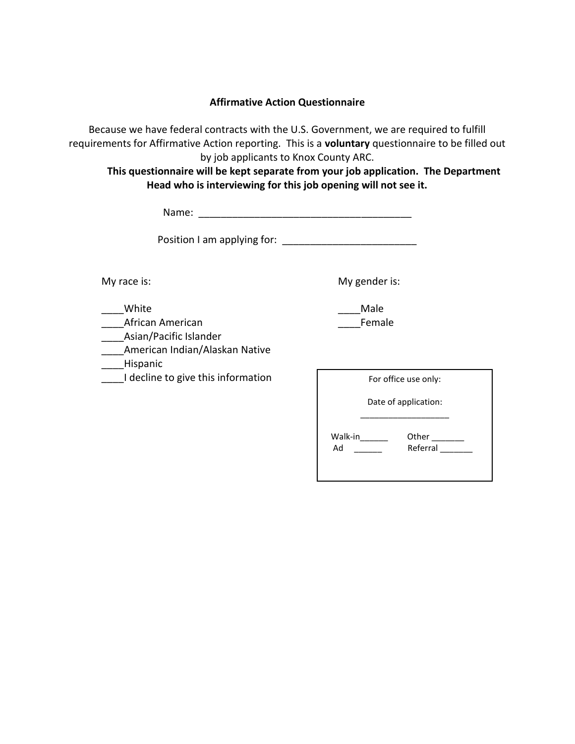#### **Affirmative Action Questionnaire**

Because we have federal contracts with the U.S. Government, we are required to fulfill requirements for Affirmative Action reporting. This is a **voluntary** questionnaire to be filled out by job applicants to Knox County ARC.

**This questionnaire will be kept separate from your job application. The Department Head who is interviewing for this job opening will not see it.**

| Name:                                                                                                                                                                                                                         |                                                  |
|-------------------------------------------------------------------------------------------------------------------------------------------------------------------------------------------------------------------------------|--------------------------------------------------|
| Position I am applying for: Note that the set of the set of the set of the set of the set of the set of the set of the set of the set of the set of the set of the set of the set of the set of the set of the set of the set |                                                  |
| My race is:                                                                                                                                                                                                                   | My gender is:                                    |
| White<br>African American<br>Asian/Pacific Islander<br>American Indian/Alaskan Native<br>Hispanic                                                                                                                             | Male<br>Female                                   |
| I decline to give this information                                                                                                                                                                                            | For office use only:<br>Date of application:     |
|                                                                                                                                                                                                                               | Walk-in_______<br>Other $\_\_$<br>Referral<br>Ad |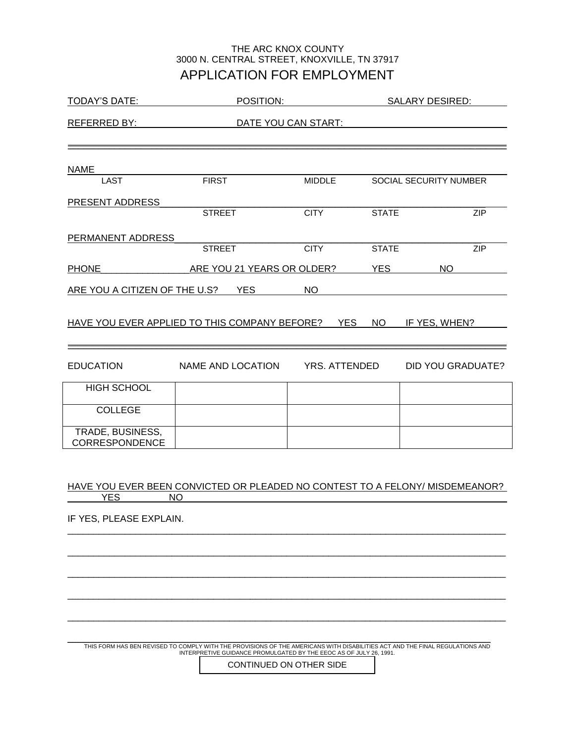### APPLICATION FOR EMPLOYMENT THE ARC KNOX COUNTY 3000 N. CENTRAL STREET, KNOXVILLE, TN 37917

| <b>TODAY'S DATE:</b>                                                         | POSITION:                  |                      |              | <b>SALARY DESIRED:</b> |  |
|------------------------------------------------------------------------------|----------------------------|----------------------|--------------|------------------------|--|
| REFERRED BY:                                                                 |                            | DATE YOU CAN START:  |              |                        |  |
|                                                                              |                            |                      |              |                        |  |
| <b>NAME</b>                                                                  |                            |                      |              |                        |  |
| <b>LAST</b>                                                                  | <b>FIRST</b>               | <b>MIDDLE</b>        |              | SOCIAL SECURITY NUMBER |  |
| PRESENT ADDRESS                                                              | <b>STREET</b>              | <b>CITY</b>          | <b>STATE</b> | <b>ZIP</b>             |  |
|                                                                              |                            |                      |              |                        |  |
| PERMANENT ADDRESS                                                            | <b>STREET</b>              | <b>CITY</b>          | <b>STATE</b> | ZIP                    |  |
| <b>PHONE</b>                                                                 | ARE YOU 21 YEARS OR OLDER? |                      | <b>YES</b>   | <b>NO</b>              |  |
| ARE YOU A CITIZEN OF THE U.S?                                                | <b>YES</b>                 | <b>NO</b>            |              |                        |  |
|                                                                              |                            |                      |              |                        |  |
| HAVE YOU EVER APPLIED TO THIS COMPANY BEFORE?                                |                            | <b>YES</b>           | <b>NO</b>    | IF YES, WHEN?          |  |
|                                                                              |                            |                      |              |                        |  |
| <b>EDUCATION</b>                                                             | NAME AND LOCATION          | <b>YRS. ATTENDED</b> |              | DID YOU GRADUATE?      |  |
| <b>HIGH SCHOOL</b>                                                           |                            |                      |              |                        |  |
| <b>COLLEGE</b>                                                               |                            |                      |              |                        |  |
| TRADE, BUSINESS,<br>CORRESPONDENCE                                           |                            |                      |              |                        |  |
|                                                                              |                            |                      |              |                        |  |
| HAVE YOU EVER BEEN CONVICTED OR PLEADED NO CONTEST TO A FELONY/ MISDEMEANOR? |                            |                      |              |                        |  |
| <b>YES</b>                                                                   | <b>NO</b>                  |                      |              |                        |  |
| IF YES, PLEASE EXPLAIN.                                                      |                            |                      |              |                        |  |
|                                                                              |                            |                      |              |                        |  |
|                                                                              |                            |                      |              |                        |  |
|                                                                              |                            |                      |              |                        |  |
|                                                                              |                            |                      |              |                        |  |
|                                                                              |                            |                      |              |                        |  |

THIS FORM HAS BEN REVISED TO COMPLY WITH THE PROVISIONS OF THE AMERICANS WITH DISABILITIES ACT AND THE FINAL REGULATIONS AND<br>INTERPRETIVE GUIDANCE PROMULGATED BY THE EEOC AS OF JULY 26, 1991.

CONTINUED ON OTHER SIDE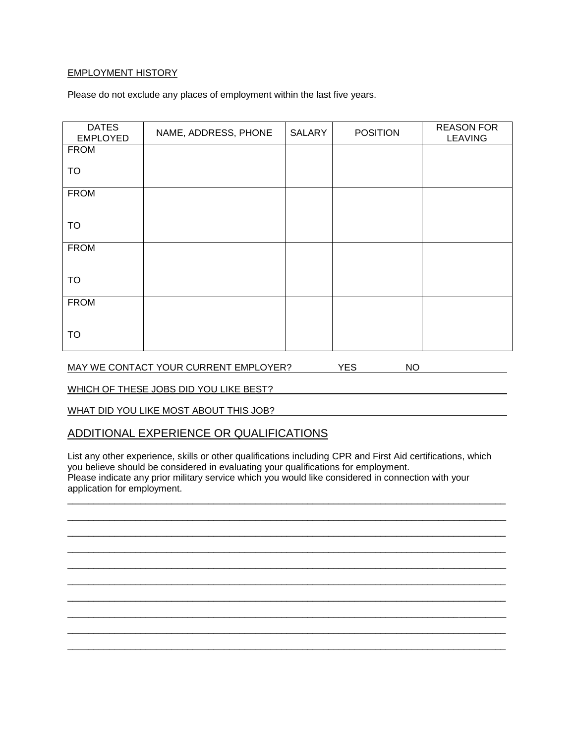#### EMPLOYMENT HISTORY

Please do not exclude any places of employment within the last five years.

| <b>DATES</b><br><b>EMPLOYED</b> | NAME, ADDRESS, PHONE | SALARY | <b>POSITION</b> | <b>REASON FOR</b><br><b>LEAVING</b> |
|---------------------------------|----------------------|--------|-----------------|-------------------------------------|
| <b>FROM</b>                     |                      |        |                 |                                     |
| TO                              |                      |        |                 |                                     |
| <b>FROM</b>                     |                      |        |                 |                                     |
| TO                              |                      |        |                 |                                     |
| <b>FROM</b>                     |                      |        |                 |                                     |
| TO                              |                      |        |                 |                                     |
| <b>FROM</b>                     |                      |        |                 |                                     |
| <b>TO</b>                       |                      |        |                 |                                     |

MAY WE CONTACT YOUR CURRENT EMPLOYER? YES NO

WHICH OF THESE JOBS DID YOU LIKE BEST?

WHAT DID YOU LIKE MOST ABOUT THIS JOB?

#### ADDITIONAL EXPERIENCE OR QUALIFICATIONS

List any other experience, skills or other qualifications including CPR and First Aid certifications, which you believe should be considered in evaluating your qualifications for employment. Please indicate any prior military service which you would like considered in connection with your application for employment.

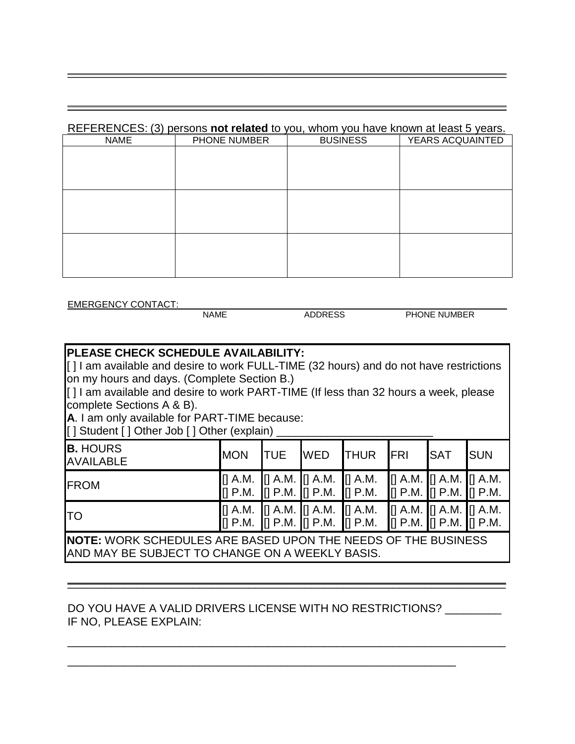## REFERENCES: (3) persons **not related** to you, whom you have known at least 5 years.

\_\_\_\_\_\_\_\_\_\_\_\_\_\_\_\_\_\_\_\_\_\_\_\_\_\_\_\_\_\_\_\_\_\_\_\_\_\_\_\_\_\_\_\_\_\_\_\_\_\_\_\_\_\_\_\_\_\_\_\_\_\_\_\_\_\_\_\_\_\_\_\_\_\_\_\_\_\_\_\_\_\_\_\_

\_\_\_\_\_\_\_\_\_\_\_\_\_\_\_\_\_\_\_\_\_\_\_\_\_\_\_\_\_\_\_\_\_\_\_\_\_\_\_\_\_\_\_\_\_\_\_\_\_\_\_\_\_\_\_\_\_\_\_\_\_\_\_\_\_\_\_\_\_\_\_\_\_\_\_\_\_\_\_\_\_\_\_\_

| <b>NAME</b> | PHONE NUMBER | <b>BUSINESS</b> | YEARS ACQUAINTED |
|-------------|--------------|-----------------|------------------|
|             |              |                 |                  |
|             |              |                 |                  |
|             |              |                 |                  |
|             |              |                 |                  |
|             |              |                 |                  |
|             |              |                 |                  |
|             |              |                 |                  |
|             |              |                 |                  |
|             |              |                 |                  |
|             |              |                 |                  |
|             |              |                 |                  |

EMERGENCY CONTACT:

NAME ADDRESS PHONE NUMBER

# **PLEASE CHECK SCHEDULE AVAILABILITY:**

[] I am available and desire to work FULL-TIME (32 hours) and do not have restrictions on my hours and days. (Complete Section B.)

[] I am available and desire to work PART-TIME (If less than 32 hours a week, please complete Sections A & B).

**A**. I am only available for PART-TIME because:

[ ] Student [ ] Other Job [ ] Other (explain) \_\_\_\_\_\_\_\_\_\_\_\_\_\_\_\_\_\_\_\_\_\_\_\_\_

| <b>B.</b> HOURS<br><b>AVAILABLE</b>                                                                                      | <b>MON</b> | <b>I</b> TUE | <b>WED</b> | <b>THUR</b>                                                                                                                                                                                                                                                                                                       | <b>FRI</b> | <b>SAT</b> | <b>ISUN</b> |
|--------------------------------------------------------------------------------------------------------------------------|------------|--------------|------------|-------------------------------------------------------------------------------------------------------------------------------------------------------------------------------------------------------------------------------------------------------------------------------------------------------------------|------------|------------|-------------|
| <b>FROM</b>                                                                                                              |            |              |            | [] A.M. [] A.M. [] A.M. [] A.M. [[] A.M. [[] A.M. [[] A.M. [[] A.M.<br>$\begin{bmatrix} 1 \ 1 \ 1 \end{bmatrix}$ P.M. $\begin{bmatrix} 1 \ 1 \ 1 \end{bmatrix}$ P.M. $\begin{bmatrix} 1 \ 1 \ 1 \end{bmatrix}$ P.M. $\begin{bmatrix} 1 \ 1 \ 1 \end{bmatrix}$ P.M. $\begin{bmatrix} 1 \ 1 \ 1 \end{bmatrix}$ P.M. |            |            |             |
| lтo                                                                                                                      |            |              |            | [] A.M. [] A.M. [] A.M. [] A.M. [] A.M. [] A.M. [] A.M. [] A.M.<br>[] P.M. [] P.M. [] P.M. [] P.M. [] P.M. [] P.M. [] P.M. [] P.M.                                                                                                                                                                                |            |            |             |
| <b>INOTE:</b> WORK SCHEDULES ARE BASED UPON THE NEEDS OF THE BUSINESS<br>AND MAY BE SUBJECT TO CHANGE ON A WEEKLY BASIS. |            |              |            |                                                                                                                                                                                                                                                                                                                   |            |            |             |

 $\overline{\phantom{a}}$  , and the contribution of the contribution of the contribution of the contribution of the contribution of the contribution of the contribution of the contribution of the contribution of the contribution of the

\_\_\_\_\_\_\_\_\_\_\_\_\_\_\_\_\_\_\_\_\_\_\_\_\_\_\_\_\_\_\_\_\_\_\_\_\_\_\_\_\_\_\_\_\_\_\_\_\_\_\_\_\_\_\_\_\_\_\_\_\_\_\_\_\_\_\_\_\_\_

# DO YOU HAVE A VALID DRIVERS LICENSE WITH NO RESTRICTIONS? \_\_\_\_\_\_\_\_\_ IF NO, PLEASE EXPLAIN:

\_\_\_\_\_\_\_\_\_\_\_\_\_\_\_\_\_\_\_\_\_\_\_\_\_\_\_\_\_\_\_\_\_\_\_\_\_\_\_\_\_\_\_\_\_\_\_\_\_\_\_\_\_\_\_\_\_\_\_\_\_\_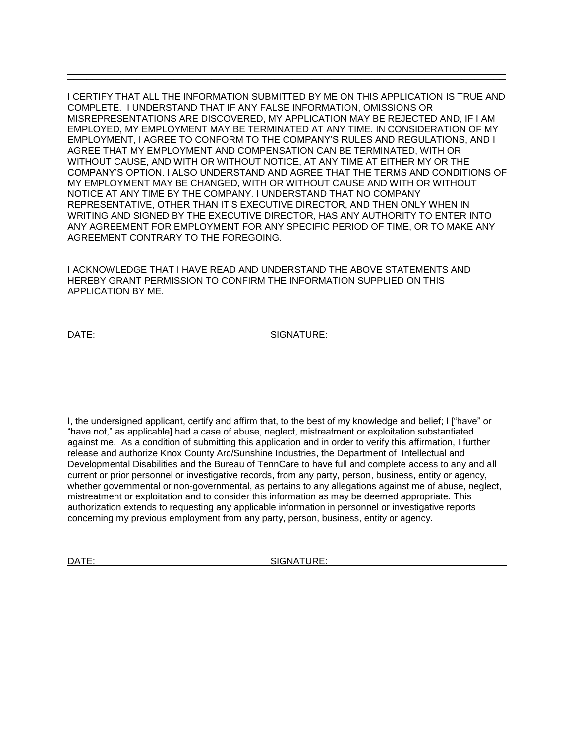I CERTIFY THAT ALL THE INFORMATION SUBMITTED BY ME ON THIS APPLICATION IS TRUE AND COMPLETE. I UNDERSTAND THAT IF ANY FALSE INFORMATION, OMISSIONS OR MISREPRESENTATIONS ARE DISCOVERED, MY APPLICATION MAY BE REJECTED AND, IF I AM EMPLOYED, MY EMPLOYMENT MAY BE TERMINATED AT ANY TIME. IN CONSIDERATION OF MY EMPLOYMENT, I AGREE TO CONFORM TO THE COMPANY'S RULES AND REGULATIONS, AND I AGREE THAT MY EMPLOYMENT AND COMPENSATION CAN BE TERMINATED, WITH OR WITHOUT CAUSE, AND WITH OR WITHOUT NOTICE, AT ANY TIME AT EITHER MY OR THE COMPANY'S OPTION. I ALSO UNDERSTAND AND AGREE THAT THE TERMS AND CONDITIONS OF MY EMPLOYMENT MAY BE CHANGED, WITH OR WITHOUT CAUSE AND WITH OR WITHOUT NOTICE AT ANY TIME BY THE COMPANY. I UNDERSTAND THAT NO COMPANY REPRESENTATIVE, OTHER THAN IT'S EXECUTIVE DIRECTOR, AND THEN ONLY WHEN IN WRITING AND SIGNED BY THE EXECUTIVE DIRECTOR, HAS ANY AUTHORITY TO ENTER INTO ANY AGREEMENT FOR EMPLOYMENT FOR ANY SPECIFIC PERIOD OF TIME, OR TO MAKE ANY AGREEMENT CONTRARY TO THE FOREGOING.

\_\_\_\_\_\_\_\_\_\_\_\_\_\_\_\_\_\_\_\_\_\_\_\_\_\_\_\_\_\_\_\_\_\_\_\_\_\_\_\_\_\_\_\_\_\_\_\_\_\_\_\_\_\_\_\_\_\_\_\_\_\_\_\_\_\_\_\_\_\_

I ACKNOWLEDGE THAT I HAVE READ AND UNDERSTAND THE ABOVE STATEMENTS AND HEREBY GRANT PERMISSION TO CONFIRM THE INFORMATION SUPPLIED ON THIS APPLICATION BY ME.

DATE: SIGNATURE:

I, the undersigned applicant, certify and affirm that, to the best of my knowledge and belief; I ["have" or "have not," as applicable] had a case of abuse, neglect, mistreatment or exploitation substantiated against me. As a condition of submitting this application and in order to verify this affirmation, I further release and authorize Knox County Arc/Sunshine Industries, the Department of Intellectual and Developmental Disabilities and the Bureau of TennCare to have full and complete access to any and all current or prior personnel or investigative records, from any party, person, business, entity or agency, whether governmental or non-governmental, as pertains to any allegations against me of abuse, neglect, mistreatment or exploitation and to consider this information as may be deemed appropriate. This authorization extends to requesting any applicable information in personnel or investigative reports concerning my previous employment from any party, person, business, entity or agency.

DATE: SIGNATURE: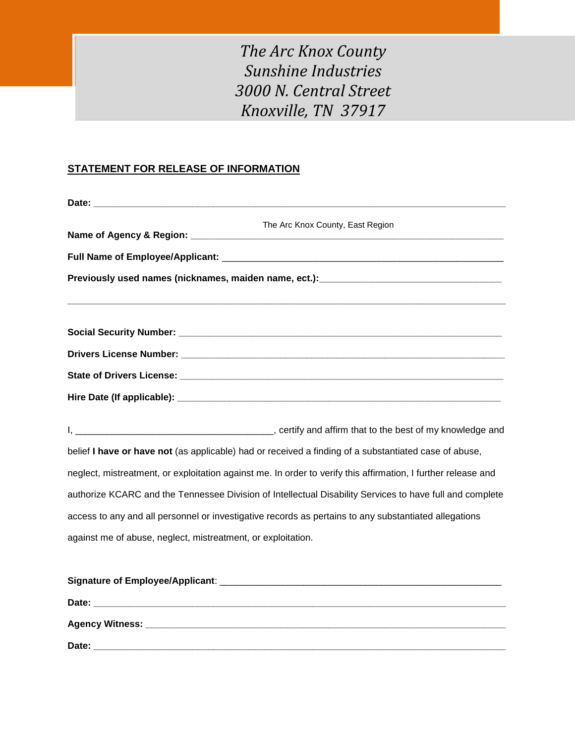# *The Arc Knox County Sunshine Industries 3000 N. Central Street Knoxville, TN 37917*

# **STATEMENT FOR RELEASE OF INFORMATION**

| The Arc Knox County, East Region                                                                              |
|---------------------------------------------------------------------------------------------------------------|
|                                                                                                               |
|                                                                                                               |
|                                                                                                               |
|                                                                                                               |
|                                                                                                               |
|                                                                                                               |
|                                                                                                               |
|                                                                                                               |
| belief I have or have not (as applicable) had or received a finding of a substantiated case of abuse,         |
| neglect, mistreatment, or exploitation against me. In order to verify this affirmation, I further release and |
| authorize KCARC and the Tennessee Division of Intellectual Disability Services to have full and complete      |
| access to any and all personnel or investigative records as pertains to any substantiated allegations         |
| against me of abuse, neglect, mistreatment, or exploitation.                                                  |
|                                                                                                               |
|                                                                                                               |
|                                                                                                               |

**Date: \_\_\_\_\_\_\_\_\_\_\_\_\_\_\_\_\_\_\_\_\_\_\_\_\_\_\_\_\_\_\_\_\_\_\_\_\_\_\_\_\_\_\_\_\_\_\_\_\_\_\_\_\_\_\_\_\_\_\_\_\_\_\_\_\_\_\_\_\_\_\_\_\_\_\_\_\_\_\_**